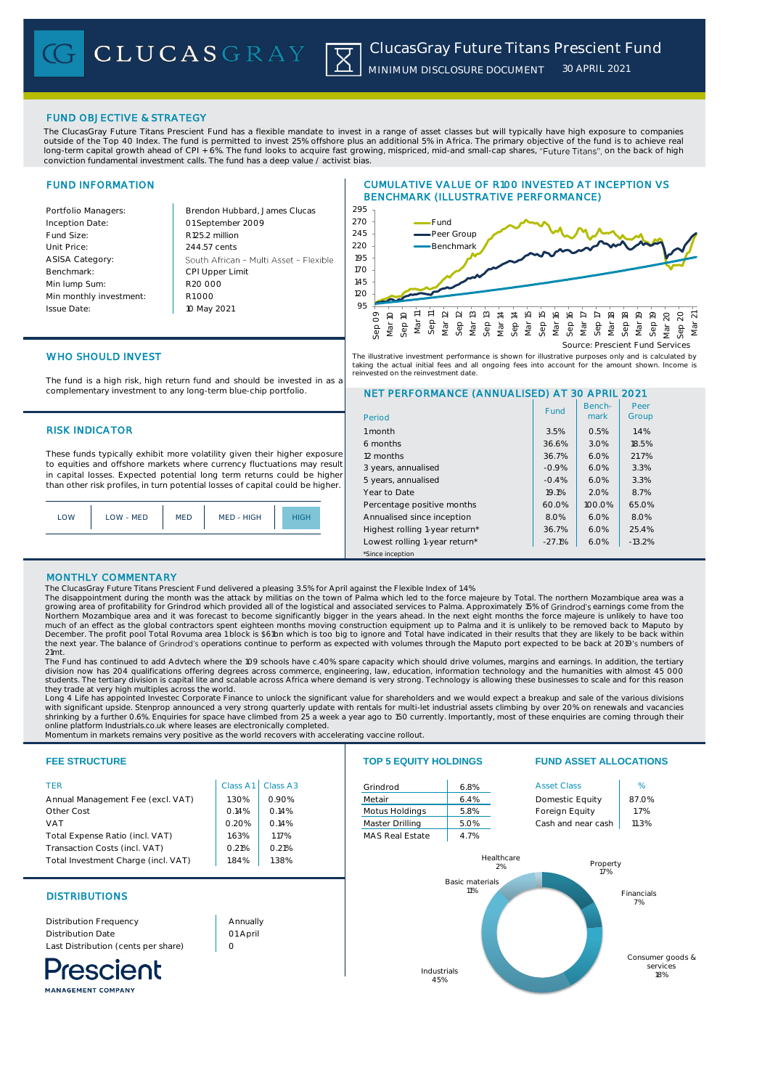# FUND OBJECTIVE & STRATEGY

The ClucasGray Future Titans Prescient Fund has a flexible mandate to invest in a range of asset classes but will typically have high exposure to companies outside of the Top 40 Index. The fund is permitted to invest 25% offshore plus an additional 5% in Africa. The primary objective of the fund is to achieve real long-term capital growth ahead of CPI + 6%. The fund looks to acquire fast growing, mispriced, mid-and small-cap shares, "Future Titans", on the back of high conviction fundamental investment calls. The fund has a deep value / activist bias.

# FUND INFORMATION

Inception Date:

ASISA Category: Benchmark: Min lump Sum:

Issue Date:

Portfolio Managers: Brendon Hubbard, James Clucas 01 September 2009 Fund Size: R125.2 million Unit Price: 244.57 cents South African - Multi Asset - Flexible CPI Upper Limit R20 000 Min monthly investment: R1 000 10 May 2021





# WHO SHOULD INVEST

The fund is a high risk, high return fund and should be invested in as a complementary investment to any long-term blue-chip portfolio.

## **RISK INDICATOR**

These funds typically exhibit more volatility given their higher exposure to equities and offshore markets where currency fluctuations may result in capital losses. Expected potential long term returns could be higher than other risk profiles, in turn potential losses of capital could be higher.

| LOW | LOW - MED | <b>MED</b> | MED - HIGH | <b>HIGH</b> |
|-----|-----------|------------|------------|-------------|
|     |           |            |            |             |

The illustrative investment performance is shown for illustrative purposes only and is calculated by<br>taking the actual initial fees and all ongoing fees into account for the amount shown. Income is<br>reinvested on the reinve

# NET PERFORMANCE (ANNUALISED) AT 30 APRIL 2021

| Period                         | Fund     | Bench-<br>mark | Peer<br>Group |  |  |
|--------------------------------|----------|----------------|---------------|--|--|
| 1 month                        | 3.5%     | 0.5%           | 1.4%          |  |  |
| 6 months                       | 36.6%    | 3.0%           | 18.5%         |  |  |
| 12 months                      | 36.7%    | 6.0%           | 21.7%         |  |  |
| 3 years, annualised            | $-0.9%$  | 6.0%           | 3.3%          |  |  |
| 5 years, annualised            | $-0.4%$  | 6.0%           | 3.3%          |  |  |
| Year to Date                   | 19.1%    | 2.0%           | 8.7%          |  |  |
| Percentage positive months     | 60.0%    | 100.0%         | 65.0%         |  |  |
| Annualised since inception     | 8.0%     | 6.0%           | 8.0%          |  |  |
| Highest rolling 1-year return* | 36.7%    | 6.0%           | 25.4%         |  |  |
| Lowest rolling 1-year return*  | $-27.1%$ | 6.0%           | $-13.2%$      |  |  |
| *Since inception               |          |                |               |  |  |

## MONTHLY COMMENTARY

The ClucasGray Future Titans Prescient Fund delivered a pleasing 3.5% for April against the Flexible Index of 1.4%

The disappointment during the month was the attack by militias on the town of Palma which led to the force majeure by Total. The northern Mozambique area was a<br>growing area of profitability for Grindrod which provided all Northern Mozambique area and it was forecast to become significantly bigger in the years ahead. In the next eight months the force majeure is unlikely to have toc<br>much of an effect as the global contractors spent eighteen the next year. The balance of Grindrod's operations continue to perform as expected with volumes through the Maputo port expected to be back at 2019's numbers of

21mt. The Fund has continued to add Advtech where the 109 schools have c.40% spare capacity which should drive volumes, margins and earnings. In addition, the tertiary division now has 204 qualifications offering degrees across commerce, engineering, law, education, information technology and the humanities with almost 45 000 students. The tertiary division is capital lite and scalable across Africa where demand is very strong. Technology is allowing these businesses to scale and for this reason they trade at very high multiples across the world.

Long 4 Life has appointed Investec Corporate Finance to unlock the significant value for shareholders and we would expect a breakup and sale of the various divisions with significant upside. Stenprop announced a very strong quarterly update with rentals for multi-let industrial assets climbing by over 20% on renewals and vacancies<br>shrinking by a further 0.6%. Enquiries for space have c

Momentum in markets remains very positive as the world recovers with accelerating vaccine rollout.